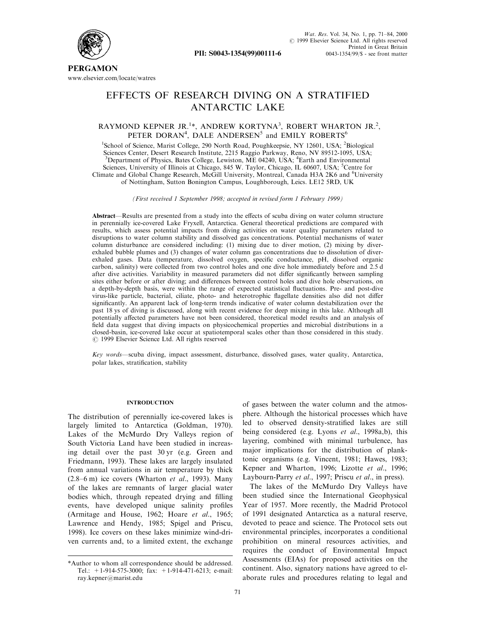

**PERGAMON** www.elsevier.com/locate/watres

# EFFECTS OF RESEARCH DIVING ON A STRATIFIED ANTARCTIC LAKE

# RAYMOND KEPNER JR.<sup>1\*</sup>, ANDREW KORTYNA<sup>3</sup>, ROBERT WHARTON JR.<sup>2</sup>, PETER DORAN<sup>4</sup>, DALE ANDERSEN<sup>5</sup> and EMILY ROBERTS<sup>6</sup>

<sup>1</sup>School of Science, Marist College, 290 North Road, Poughkeepsie, NY 12601, USA; <sup>2</sup>Biological Sciences Center, Desert Research Institute, 2215 Raggio Parkway, Reno, NV 89512-1095, USA; <sup>3</sup>Department of Physics, Bates College, Lewiston, ME 04240, USA; <sup>4</sup>Earth and Environmental Sciences, University of Illinois at Chicago, 845 W. Taylor, Chicago, IL 60607, USA; <sup>5</sup>Centre for Climate and Global Change Research, McGill University, Montreal, Canada H3A 2K6 and <sup>6</sup>University of Nottingham, Sutton Bonington Campus, Loughborough, Leics. LE12 5RD, UK

(First received 1 September 1998; accepted in revised form 1 February 1999)

Abstract—Results are presented from a study into the effects of scuba diving on water column structure in perennially ice-covered Lake Fryxell, Antarctica. General theoretical predictions are compared with results, which assess potential impacts from diving activities on water quality parameters related to disruptions to water column stability and dissolved gas concentrations. Potential mechanisms of water column disturbance are considered including: (1) mixing due to diver motion, (2) mixing by diverexhaled bubble plumes and (3) changes of water column gas concentrations due to dissolution of diverexhaled gases. Data (temperature, dissolved oxygen, specific conductance, pH, dissolved organic carbon, salinity) were collected from two control holes and one dive hole immediately before and 2.5 d after dive activities. Variability in measured parameters did not differ significantly between sampling sites either before or after diving; and differences between control holes and dive hole observations, on a depth-by-depth basis, were within the range of expected statistical fluctuations. Pre- and post-dive virus-like particle, bacterial, ciliate, photo- and heterotrophic flagellate densities also did not differ significantly. An apparent lack of long-term trends indicative of water column destabilization over the past 18 ys of diving is discussed, along with recent evidence for deep mixing in this lake. Although all potentially affected parameters have not been considered, theoretical model results and an analysis of field data suggest that diving impacts on physicochemical properties and microbial distributions in a closed-basin, ice-covered lake occur at spatiotemporal scales other than those considered in this study.  $\odot$  1999 Elsevier Science Ltd. All rights reserved

Key words—scuba diving, impact assessment, disturbance, dissolved gases, water quality, Antarctica, polar lakes, stratification, stability

# **INTRODUCTION**

The distribution of perennially ice-covered lakes is largely limited to Antarctica (Goldman, 1970). Lakes of the McMurdo Dry Valleys region of South Victoria Land have been studied in increasing detail over the past 30 yr (e.g. Green and Friedmann, 1993). These lakes are largely insulated from annual variations in air temperature by thick  $(2.8-6 \text{ m})$  ice covers (Wharton *et al.*, 1993). Many of the lakes are remnants of larger glacial water bodies which, through repeated drying and filling events, have developed unique salinity profiles (Armitage and House, 1962; Hoare et al., 1965; Lawrence and Hendy, 1985; Spigel and Priscu, 1998). Ice covers on these lakes minimize wind-driven currents and, to a limited extent, the exchange

of gases between the water column and the atmosphere. Although the historical processes which have led to observed density-stratified lakes are still being considered (e.g. Lyons et al., 1998a,b), this layering, combined with minimal turbulence, has major implications for the distribution of planktonic organisms (e.g. Vincent, 1981; Hawes, 1983; Kepner and Wharton, 1996; Lizotte et al., 1996; Laybourn-Parry et al., 1997; Priscu et al., in press).

The lakes of the McMurdo Dry Valleys have been studied since the International Geophysical Year of 1957. More recently, the Madrid Protocol of 1991 designated Antarctica as a natural reserve, devoted to peace and science. The Protocol sets out environmental principles, incorporates a conditional prohibition on mineral resources activities, and requires the conduct of Environmental Impact Assessments (EIAs) for proposed activities on the continent. Also, signatory nations have agreed to elaborate rules and procedures relating to legal and

<sup>\*</sup>Author to whom all correspondence should be addressed. Tel.: +1-914-575-3000; fax: +1-914-471-6213; e-mail: ray.kepner@marist.edu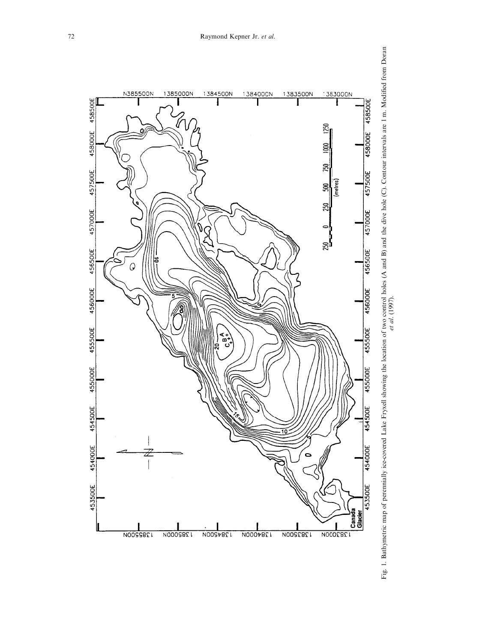

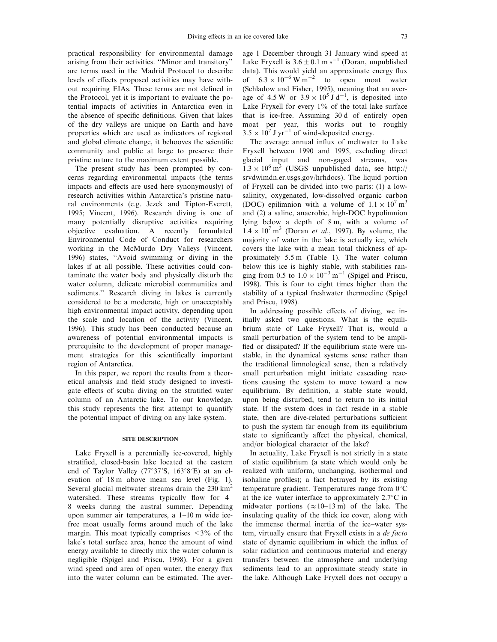practical responsibility for environmental damage arising from their activities. "Minor and transitory" are terms used in the Madrid Protocol to describe levels of effects proposed activities may have without requiring EIAs. These terms are not defined in the Protocol, yet it is important to evaluate the potential impacts of activities in Antarctica even in the absence of specific definitions. Given that lakes of the dry valleys are unique on Earth and have properties which are used as indicators of regional and global climate change, it behooves the scientific community and public at large to preserve their pristine nature to the maximum extent possible.

The present study has been prompted by concerns regarding environmental impacts (the terms impacts and effects are used here synonymously) of research activities within Antarctica's pristine natural environments (e.g. Jezek and Tipton-Everett, 1995; Vincent, 1996). Research diving is one of many potentially disruptive activities requiring objective evaluation. A recently formulated Environmental Code of Conduct for researchers working in the McMurdo Dry Valleys (Vincent, 1996) states, "Avoid swimming or diving in the lakes if at all possible. These activities could contaminate the water body and physically disturb the water column, delicate microbial communities and sediments.'' Research diving in lakes is currently considered to be a moderate, high or unacceptably high environmental impact activity, depending upon the scale and location of the activity (Vincent, 1996). This study has been conducted because an awareness of potential environmental impacts is prerequisite to the development of proper management strategies for this scientifically important region of Antarctica.

In this paper, we report the results from a theoretical analysis and field study designed to investigate effects of scuba diving on the stratified water column of an Antarctic lake. To our knowledge, this study represents the first attempt to quantify the potential impact of diving on any lake system.

# SITE DESCRIPTION

Lake Fryxell is a perennially ice-covered, highly stratified, closed-basin lake located at the eastern end of Taylor Valley ( $77^{\circ}37'$ S,  $163^{\circ}8'E$ ) at an elevation of 18 m above mean sea level (Fig. 1). Several glacial meltwater streams drain the 230 km<sup>2</sup> watershed. These streams typically flow for 4-8 weeks during the austral summer. Depending upon summer air temperatures, a  $1-10$  m wide icefree moat usually forms around much of the lake margin. This moat typically comprises  $\leq 3\%$  of the lake's total surface area, hence the amount of wind energy available to directly mix the water column is negligible (Spigel and Priscu, 1998). For a given wind speed and area of open water, the energy flux into the water column can be estimated. The average 1 December through 31 January wind speed at Lake Fryxell is  $3.6\pm0.1$  m s<sup>-1</sup> (Doran, unpublished data). This would yield an approximate energy flux of  $6.3 \times 10^{-6} \text{ W m}^{-2}$  to open moat water (Schladow and Fisher, 1995), meaning that an average of 4.5 W or  $3.9 \times 10^5$  J d<sup>-1</sup>, is deposited into Lake Fryxell for every 1% of the total lake surface that is ice-free. Assuming 30 d of entirely open moat per year, this works out to roughly  $3.5 \times 10^7$  J yr<sup>-1</sup> of wind-deposited energy.

The average annual influx of meltwater to Lake Fryxell between 1990 and 1995, excluding direct glacial input and non-gaged streams, was  $1.3 \times 10^6$  m<sup>3</sup> (USGS unpublished data, see http:// srvdwimdn.er.usgs.gov/hrhdocs). The liquid portion of Fryxell can be divided into two parts: (1) a lowsalinity, oxygenated, low-dissolved organic carbon (DOC) epilimnion with a volume of  $1.1 \times 10^7$  m<sup>3</sup> and (2) a saline, anaerobic, high-DOC hypolimnion lying below a depth of 8 m, with a volume of  $1.4 \times 10^7$  m<sup>3</sup> (Doran *et al.*, 1997). By volume, the majority of water in the lake is actually ice, which covers the lake with a mean total thickness of approximately 5.5 m (Table 1). The water column below this ice is highly stable, with stabilities ranging from 0.5 to  $1.0 \times 10^{-3}$  m<sup>-1</sup> (Spigel and Priscu, 1998). This is four to eight times higher than the stability of a typical freshwater thermocline (Spigel and Priscu, 1998).

In addressing possible effects of diving, we initially asked two questions. What is the equilibrium state of Lake Fryxell? That is, would a small perturbation of the system tend to be ampli fied or dissipated? If the equilibrium state were unstable, in the dynamical systems sense rather than the traditional limnological sense, then a relatively small perturbation might initiate cascading reactions causing the system to move toward a new equilibrium. By definition, a stable state would, upon being disturbed, tend to return to its initial state. If the system does in fact reside in a stable state, then are dive-related perturbations sufficient to push the system far enough from its equilibrium state to significantly affect the physical, chemical, and/or biological character of the lake?

In actuality, Lake Fryxell is not strictly in a state of static equilibrium (a state which would only be realized with uniform, unchanging, isothermal and isohaline profiles); a fact betrayed by its existing temperature gradient. Temperatures range from  $0^{\circ}$ C at the ice-water interface to approximately  $2.7^{\circ}$ C in midwater portions ( $\approx 10-13$  m) of the lake. The insulating quality of the thick ice cover, along with the immense thermal inertia of the ice-water system, virtually ensure that Fryxell exists in a de facto state of dynamic equilibrium in which the influx of solar radiation and continuous material and energy transfers between the atmosphere and underlying sediments lead to an approximate steady state in the lake. Although Lake Fryxell does not occupy a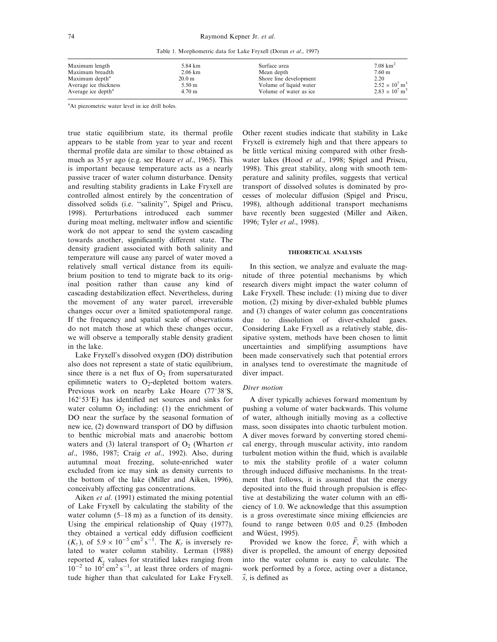Table 1. Morphometric data for Lake Fryxell (Doran et al., 1997)

| Maximum length                 | 5.84 km            | Surface area            | $7.08 \text{ km}^2$               |
|--------------------------------|--------------------|-------------------------|-----------------------------------|
| Maximum breadth                | $2.06 \mathrm{km}$ | Mean depth              | 7.60 <sub>m</sub>                 |
| Maximum depth <sup>a</sup>     | 20.0 <sub>m</sub>  | Shore line development  | 2.20                              |
| Average ice thickness          | $5.50 \text{ m}$   | Volume of liquid water  | $2.52 \times 10^7$ m <sup>3</sup> |
| Average ice depth <sup>a</sup> | $4.70 \text{ m}$   | Volume of water as ice. | $2.83 \times 10^7$ m <sup>3</sup> |

<sup>a</sup>At piezometric water level in ice drill holes.

true static equilibrium state, its thermal profile appears to be stable from year to year and recent thermal profile data are similar to those obtained as much as 35 yr ago (e.g. see Hoare et al., 1965). This is important because temperature acts as a nearly passive tracer of water column disturbance. Density and resulting stability gradients in Lake Fryxell are controlled almost entirely by the concentration of dissolved solids (i.e. "salinity", Spigel and Priscu, 1998). Perturbations introduced each summer during moat melting, meltwater inflow and scientific work do not appear to send the system cascading towards another, significantly different state. The density gradient associated with both salinity and temperature will cause any parcel of water moved a relatively small vertical distance from its equilibrium position to tend to migrate back to its original position rather than cause any kind of cascading destabilization effect. Nevertheless, during the movement of any water parcel, irreversible changes occur over a limited spatiotemporal range. If the frequency and spatial scale of observations do not match those at which these changes occur, we will observe a temporally stable density gradient in the lake.

Lake Fryxell's dissolved oxygen (DO) distribution also does not represent a state of static equilibrium, since there is a net flux of  $O<sub>2</sub>$  from supersaturated epilimnetic waters to  $O_2$ -depleted bottom waters. Previous work on nearby Lake Hoare  $(77°38'S,$  $162°53'E$ ) has identified net sources and sinks for water column  $O<sub>2</sub>$  including: (1) the enrichment of DO near the surface by the seasonal formation of new ice,  $(2)$  downward transport of DO by diffusion to benthic microbial mats and anaerobic bottom waters and (3) lateral transport of  $O_2$  (Wharton *et* al., 1986, 1987; Craig et al., 1992). Also, during autumnal moat freezing, solute-enriched water excluded from ice may sink as density currents to the bottom of the lake (Miller and Aiken, 1996), conceivably affecting gas concentrations.

Aiken et al. (1991) estimated the mixing potential of Lake Fryxell by calculating the stability of the water column  $(5-18 \text{ m})$  as a function of its density. Using the empirical relationship of Quay (1977), they obtained a vertical eddy diffusion coefficient  $(K_z)$ , of  $5.9 \times 10^{-5} \text{ cm}^2 \text{ s}^{-1}$ . The  $K_z$  is inversely related to water column stability. Lerman (1988) reported  $K<sub>z</sub>$  values for stratified lakes ranging from  $10^{-2}$  to  $10^{2}$  cm<sup>2</sup> s<sup>-1</sup>, at least three orders of magnitude higher than that calculated for Lake Fryxell.

Other recent studies indicate that stability in Lake Fryxell is extremely high and that there appears to be little vertical mixing compared with other freshwater lakes (Hood et al., 1998; Spigel and Priscu, 1998). This great stability, along with smooth temperature and salinity profiles, suggests that vertical transport of dissolved solutes is dominated by processes of molecular diffusion (Spigel and Priscu, 1998), although additional transport mechanisms have recently been suggested (Miller and Aiken, 1996; Tyler et al., 1998).

### THEORETICAL ANALYSIS

In this section, we analyze and evaluate the magnitude of three potential mechanisms by which research divers might impact the water column of Lake Fryxell. These include: (1) mixing due to diver motion, (2) mixing by diver-exhaled bubble plumes and (3) changes of water column gas concentrations due to dissolution of diver-exhaled gases. Considering Lake Fryxell as a relatively stable, dissipative system, methods have been chosen to limit uncertainties and simplifying assumptions have been made conservatively such that potential errors in analyses tend to overestimate the magnitude of diver impact.

# Diver motion

A diver typically achieves forward momentum by pushing a volume of water backwards. This volume of water, although initially moving as a collective mass, soon dissipates into chaotic turbulent motion. A diver moves forward by converting stored chemical energy, through muscular activity, into random turbulent motion within the fluid, which is available to mix the stability profile of a water column through induced diffusive mechanisms. In the treatment that follows, it is assumed that the energy deposited into the fluid through propulsion is effective at destabilizing the water column with an efficiency of 1.0. We acknowledge that this assumption is a gross overestimate since mixing efficiencies are found to range between 0.05 and 0.25 (Imboden and Wüest, 1995).

Provided we know the force,  $\vec{F}$ , with which a diver is propelled, the amount of energy deposited into the water column is easy to calculate. The work performed by a force, acting over a distance,  $\vec{s}$ , is defined as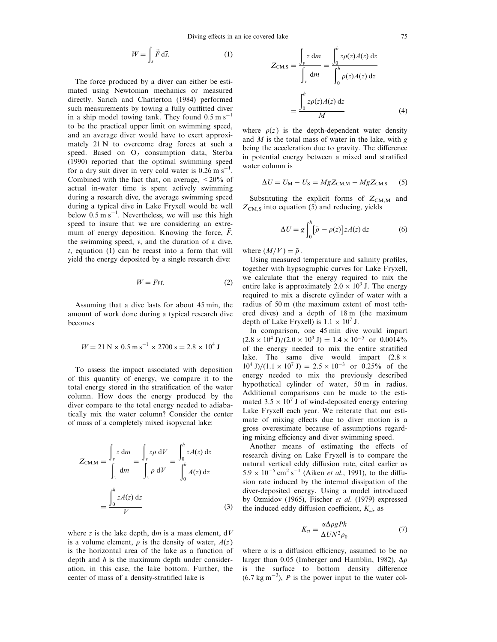$$
W = \int_{s} \vec{F} \, d\vec{s}.\tag{1}
$$

The force produced by a diver can either be estimated using Newtonian mechanics or measured directly. Sarich and Chatterton (1984) performed such measurements by towing a fully outfitted diver in a ship model towing tank. They found  $0.5 \text{ m s}^{-1}$ to be the practical upper limit on swimming speed, and an average diver would have to exert approximately 21 N to overcome drag forces at such a speed. Based on  $O_2$  consumption data, Sterba (1990) reported that the optimal swimming speed for a dry suit diver in very cold water is  $0.26 \text{ m s}^{-1}$ . Combined with the fact that, on average,  $\langle 20\% \rangle$  of actual in-water time is spent actively swimming during a research dive, the average swimming speed during a typical dive in Lake Fryxell would be well below  $0.5 \text{ m s}^{-1}$ . Nevertheless, we will use this high speed to insure that we are considering an extremum of energy deposition. Knowing the force,  $\overline{F}$ , the swimming speed, v, and the duration of a dive,  $t$ , equation (1) can be recast into a form that will yield the energy deposited by a single research dive:

$$
W = Fvt.
$$
 (2)

Assuming that a dive lasts for about 45 min, the amount of work done during a typical research dive becomes

$$
W = 21 \text{ N} \times 0.5 \text{ m s}^{-1} \times 2700 \text{ s} = 2.8 \times 10^4 \text{ J}
$$

To assess the impact associated with deposition of this quantity of energy, we compare it to the total energy stored in the stratification of the water column. How does the energy produced by the diver compare to the total energy needed to adiabatically mix the water column? Consider the center of mass of a completely mixed isopycnal lake:

$$
Z_{\text{CM,M}} = \frac{\int_{v} z \, dm}{\int_{v} dm} = \frac{\int_{v} z \rho \, dV}{\int_{v} \rho \, dV} = \frac{\int_{0}^{h} zA(z) \, dz}{\int_{0}^{h} A(z) \, dz}
$$

$$
= \frac{\int_{0}^{h} zA(z) \, dz}{V} \tag{3}
$$

where z is the lake depth, dm is a mass element,  $dV$ is a volume element,  $\rho$  is the density of water,  $A(z)$ is the horizontal area of the lake as a function of depth and  $h$  is the maximum depth under consideration, in this case, the lake bottom. Further, the center of mass of a density-stratified lake is

$$
Z_{\text{CM},S} = \frac{\int_{v} z dm}{\int_{v} dm} = \frac{\int_{0}^{h} z\rho(z)A(z) dz}{\int_{0}^{h} \rho(z)A(z) dz}
$$

$$
= \frac{\int_{0}^{h} z\rho(z)A(z) dz}{M}
$$
(4)

where  $\rho(z)$  is the depth-dependent water density and  $M$  is the total mass of water in the lake, with  $g$ being the acceleration due to gravity. The difference in potential energy between a mixed and stratified water column is

$$
\Delta U = U_{\rm M} - U_{\rm S} = MgZ_{\rm CM,M} - MgZ_{\rm CM,S} \tag{5}
$$

Substituting the explicit forms of  $Z_{\text{CMM}}$  and  $Z_{\text{CM},S}$  into equation (5) and reducing, yields

$$
\Delta U = g \int_0^h [\bar{\rho} - \rho(z)] z A(z) dz \tag{6}
$$

where  $(M/V) = \bar{\rho}$ .

Using measured temperature and salinity profiles, together with hypsographic curves for Lake Fryxell, we calculate that the energy required to mix the entire lake is approximately  $2.0 \times 10^9$  J. The energy required to mix a discrete cylinder of water with a radius of 50 m (the maximum extent of most tethered dives) and a depth of 18 m (the maximum depth of Lake Fryxell) is  $1.1 \times 10^7$  J.

In comparison, one 45 min dive would impart  $(2.8 \times 10^4 \text{ J})/(2.0 \times 10^9 \text{ J}) = 1.4 \times 10^{-5} \text{ or } 0.0014\%$ of the energy needed to mix the entire stratified lake. The same dive would impart  $(2.8 \times$  $10^4$  J)/(1.1 × 10<sup>7</sup> J) = 2.5 × 10<sup>-3</sup> or 0.25% of the energy needed to mix the previously described hypothetical cylinder of water, 50 m in radius. Additional comparisons can be made to the estimated  $3.5 \times 10^7$  J of wind-deposited energy entering Lake Fryxell each year. We reiterate that our estimate of mixing effects due to diver motion is a gross overestimate because of assumptions regarding mixing efficiency and diver swimming speed.

Another means of estimating the effects of research diving on Lake Fryxell is to compare the natural vertical eddy diffusion rate, cited earlier as  $5.9 \times 10^{-5}$  cm<sup>2</sup> s<sup>-1</sup> (Aiken *et al.*, 1991), to the diffusion rate induced by the internal dissipation of the diver-deposited energy. Using a model introduced by Ozmidov (1965), Fischer et al. (1979) expressed the induced eddy diffusion coefficient,  $K_{zi}$ , as

$$
K_{zi} = \frac{\alpha \Delta \rho g P h}{\Delta U N^2 \rho_0} \tag{7}
$$

where  $\alpha$  is a diffusion efficiency, assumed to be no larger than 0.05 (Imberger and Hamblin, 1982),  $\Delta \rho$ is the surface to bottom density difference  $(6.7 \text{ kg m}^{-3})$ , P is the power input to the water col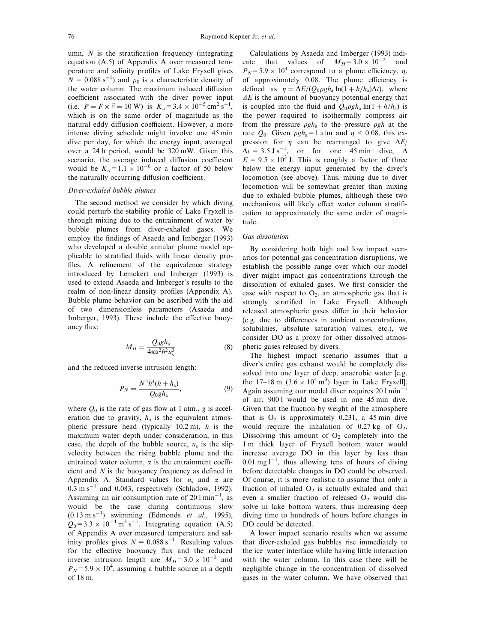umn,  $N$  is the stratification frequency (integrating equation (A.5) of Appendix A over measured temperature and salinity profiles of Lake Fryxell gives  $N = 0.088$  s<sup>-1</sup>) and  $\rho_0$  is a characteristic density of the water column. The maximum induced diffusion coefficient associated with the diver power input (i.e.  $P = \vec{F} \times \vec{v} = 10 \text{ W}$ ) is  $K_{zi} = 3.4 \times 10^{-5} \text{ cm}^2 \text{ s}^{-1}$ , which is on the same order of magnitude as the natural eddy diffusion coefficient. However, a more intense diving schedule might involve one 45 min dive per day, for which the energy input, averaged over a 24 h period, would be 320 mW. Given this scenario, the average induced diffusion coefficient would be  $K_{zi} = 1.1 \times 10^{-6}$  or a factor of 50 below the naturally occurring diffusion coefficient.

# Diver-exhaled bubble plumes

The second method we consider by which diving could perturb the stability profile of Lake Fryxell is through mixing due to the entrainment of water by bubble plumes from diver-exhaled gases. We employ the findings of Asaeda and Imberger (1993) who developed a double annular plume model applicable to stratified fluids with linear density profiles. A refinement of the equivalence strategy introduced by Lemckert and Imberger (1993) is used to extend Asaeda and Imberger's results to the realm of non-linear density profiles (Appendix A). Bubble plume behavior can be ascribed with the aid of two dimensionless parameters (Asaeda and Imberger, 1993). These include the effective buoyancy flux:

$$
M_H = \frac{Q_0 g h_a}{4\pi \alpha^2 h^2 u_s^3}
$$
 (8)

and the reduced inverse intrusion length:

$$
P_N = \frac{N^3 h^4 (h + h_a)}{Q_0 g h_a},
$$
\n(9)

where  $Q_0$  is the rate of gas flow at 1 atm., g is acceleration due to gravity,  $h_a$  is the equivalent atmospheric pressure head (typically 10.2 m), h is the maximum water depth under consideration, in this case, the depth of the bubble source,  $u_s$  is the slip velocity between the rising bubble plume and the entrained water column,  $\alpha$  is the entrainment coefficient and  $N$  is the buoyancy frequency as defined in Appendix A. Standard values for  $u_s$  and  $\alpha$  are  $0.3 \text{ m s}^{-1}$  and 0.083, respectively (Schladow, 1992). Assuming an air consumption rate of  $201 \text{min}^{-1}$ , as would be the case during continuous slow  $(0.13 \text{ m s}^{-1})$  swimming (Edmonds *et al.*, 1995),  $Q_0 = 3.3 \times 10^{-4} \text{ m}^3 \text{ s}^{-1}$ . Integrating equation (A.5) of Appendix A over measured temperature and salinity profiles gives  $N = 0.088$  s<sup>-1</sup>. Resulting values for the effective buoyancy flux and the reduced inverse intrusion length are  $M_H$ =3.0 × 10<sup>-2</sup> and  $P_N$ = 5.9 × 10<sup>4</sup>, assuming a bubble source at a depth of 18 m.

Calculations by Asaeda and Imberger (1993) indicate that values of  $M_H = 3.0 \times 10^{-2}$  and  $P_N = 5.9 \times 10^4$  correspond to a plume efficiency,  $\eta$ , of approximately 0.08. The plume efficiency is defined as  $\eta = \Delta E / (Q_0 \rho g h_a \ln(1 + h/h_a) \Delta t)$ , where  $\Delta E$  is the amount of buoyancy potential energy that is coupled into the fluid and  $Q_0 \rho g h_a \ln(1 + h/h_a)$  is the power required to isothermally compress air from the pressure  $\rho gh_a$  to the pressure  $\rho gh$  at the rate  $Q_0$ . Given  $\rho g h_a = 1$  atm and  $\eta < 0.08$ , this expression for  $\eta$  can be rearranged to give  $\Delta E$ /  $\Delta t = 3.5 \text{ J s}^{-1}$ , or for one 45 min dive,  $\Delta t$  $E = 9.5 \times 10^3$  J. This is roughly a factor of three below the energy input generated by the diver's locomotion (see above). Thus, mixing due to diver locomotion will be somewhat greater than mixing due to exhaled bubble plumes, although these two mechanisms will likely effect water column stratification to approximately the same order of magnitude.

### Gas dissolution

By considering both high and low impact scenarios for potential gas concentration disruptions, we establish the possible range over which our model diver might impact gas concentrations through the dissolution of exhaled gases. We first consider the case with respect to  $O_2$ , an atmospheric gas that is strongly stratified in Lake Fryxell. Although released atmospheric gases differ in their behavior (e.g. due to differences in ambient concentrations, solubilities, absolute saturation values, etc.), we consider DO as a proxy for other dissolved atmospheric gases released by divers.

The highest impact scenario assumes that a diver's entire gas exhaust would be completely dissolved into one layer of deep, anaerobic water [e.g. the 17-18 m  $(3.6 \times 10^4 \text{ m}^3)$  layer in Lake Fryxell]. Again assuming our model diver requires  $201$  min<sup>-1</sup> of air, 900 l would be used in one 45 min dive. Given that the fraction by weight of the atmosphere that is  $O_2$  is approximately 0.231, a 45 min dive would require the inhalation of  $0.27 \text{ kg}$  of  $O_2$ . Dissolving this amount of  $O<sub>2</sub>$  completely into the 1 m thick layer of Fryxell bottom water would increase average DO in this layer by less than  $0.01$  mg l<sup>-1</sup>, thus allowing tens of hours of diving before detectable changes in DO could be observed. Of course, it is more realistic to assume that only a fraction of inhaled  $O_2$  is actually exhaled and that even a smaller fraction of released  $O_2$  would dissolve in lake bottom waters, thus increasing deep diving time to hundreds of hours before changes in DO could be detected.

A lower impact scenario results when we assume that diver-exhaled gas bubbles rise immediately to the ice-water interface while having little interaction with the water column. In this case there will be negligible change in the concentration of dissolved gases in the water column. We have observed that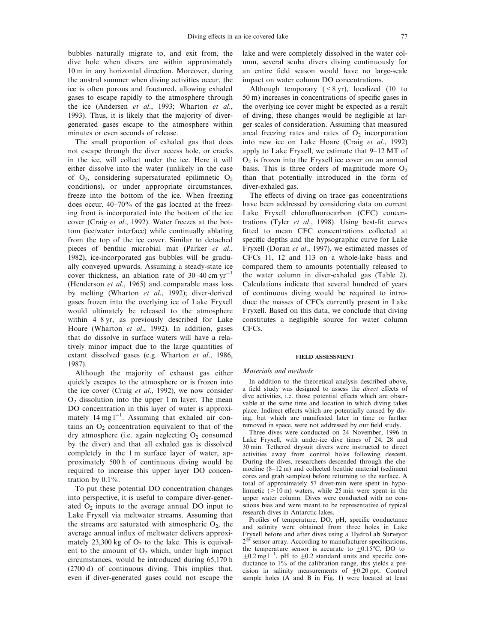bubbles naturally migrate to, and exit from, the dive hole when divers are within approximately 10 m in any horizontal direction. Moreover, during the austral summer when diving activities occur, the ice is often porous and fractured, allowing exhaled gases to escape rapidly to the atmosphere through the ice (Andersen et al., 1993; Wharton et al., 1993). Thus, it is likely that the majority of divergenerated gases escape to the atmosphere within minutes or even seconds of release.

The small proportion of exhaled gas that does not escape through the diver access hole, or cracks in the ice, will collect under the ice. Here it will either dissolve into the water (unlikely in the case of  $O_2$ , considering supersaturated epilimnetic  $O_2$ conditions), or under appropriate circumstances, freeze into the bottom of the ice. When freezing does occur,  $40-70%$  of the gas located at the freezing front is incorporated into the bottom of the ice cover (Craig et al., 1992). Water freezes at the bottom (ice/water interface) while continually ablating from the top of the ice cover. Similar to detached pieces of benthic microbial mat (Parker et al., 1982), ice-incorporated gas bubbles will be gradually conveyed upwards. Assuming a steady-state ice cover thickness, an ablation rate of  $30-40$  cm yr<sup>-1</sup> (Henderson et al., 1965) and comparable mass loss by melting (Wharton et al., 1992); diver-derived gases frozen into the overlying ice of Lake Fryxell would ultimately be released to the atmosphere within 4-8 yr, as previously described for Lake Hoare (Wharton et al., 1992). In addition, gases that do dissolve in surface waters will have a relatively minor impact due to the large quantities of extant dissolved gases (e.g. Wharton et al., 1986, 1987).

Although the majority of exhaust gas either quickly escapes to the atmosphere or is frozen into the ice cover (Craig et al., 1992), we now consider  $O<sub>2</sub>$  dissolution into the upper 1 m layer. The mean DO concentration in this layer of water is approximately 14 mg  $l^{-1}$ . Assuming that exhaled air contains an  $O_2$  concentration equivalent to that of the dry atmosphere (i.e. again neglecting  $O_2$  consumed by the diver) and that all exhaled gas is dissolved completely in the 1 m surface layer of water, approximately 500 h of continuous diving would be required to increase this upper layer DO concentration by 0.1%.

To put these potential DO concentration changes into perspective, it is useful to compare diver-generated  $O_2$  inputs to the average annual DO input to Lake Fryxell via meltwater streams. Assuming that the streams are saturated with atmospheric  $O<sub>2</sub>$ , the average annual influx of meltwater delivers approximately 23,300 kg of  $O_2$  to the lake. This is equivalent to the amount of  $O_2$  which, under high impact circumstances, would be introduced during 65,170 h (2700 d) of continuous diving. This implies that, even if diver-generated gases could not escape the

lake and were completely dissolved in the water column, several scuba divers diving continuously for an entire field season would have no large-scale impact on water column DO concentrations.

Although temporary  $(< 8 \text{ yr})$ , localized (10 to  $50 \text{ m}$ ) increases in concentrations of specific gases in the overlying ice cover might be expected as a result of diving, these changes would be negligible at larger scales of consideration. Assuming that measured areal freezing rates and rates of  $O<sub>2</sub>$  incorporation into new ice on Lake Hoare (Craig et al., 1992) apply to Lake Fryxell, we estimate that  $9-12$  MT of  $O<sub>2</sub>$  is frozen into the Fryxell ice cover on an annual basis. This is three orders of magnitude more  $O_2$ than that potentially introduced in the form of diver-exhaled gas.

The effects of diving on trace gas concentrations have been addressed by considering data on current Lake Fryxell chlorofluorocarbon (CFC) concentrations (Tyler et al., 1998). Using best-fit curves fitted to mean CFC concentrations collected at specific depths and the hypsographic curve for Lake Fryxell (Doran et al., 1997), we estimated masses of CFCs 11, 12 and 113 on a whole-lake basis and compared them to amounts potentially released to the water column in diver-exhaled gas (Table 2). Calculations indicate that several hundred of years of continuous diving would be required to introduce the masses of CFCs currently present in Lake Fryxell. Based on this data, we conclude that diving constitutes a negligible source for water column CFCs.

#### FIELD ASSESSMENT

### Materials and methods

In addition to the theoretical analysis described above, a field study was designed to assess the direct effects of dive activities, i.e. those potential effects which are observable at the same time and location in which diving takes place. Indirect effects which are potentially caused by diving, but which are manifested later in time or farther removed in space, were not addressed by our field study.

Three dives were conducted on 24 November, 1996 in Lake Fryxell, with under-ice dive times of 24, 28 and 30 min. Tethered drysuit divers were instructed to direct activities away from control holes following descent. During the dives, researchers descended through the chemocline  $(8-12 \text{ m})$  and collected benthic material (sediment cores and grab samples) before returning to the surface. A total of approximately 57 diver-min were spent in hypolimnetic  $(>10 \text{ m})$  waters, while 25 min were spent in the upper water column. Dives were conducted with no conscious bias and were meant to be representative of typical research dives in Antarctic lakes.

Profiles of temperature, DO, pH, specific conductance and salinity were obtained from three holes in Lake Fryxell before and after dives using a HydroLab Surveyor  $2^{\omega}$  sensor array. According to manufacturer specifications, the temperature sensor is accurate to  $\pm 0.15^{\circ}$ C, DO to  $\pm$ 0.2 mg l<sup>-1</sup>, pH to  $\pm$ 0.2 standard units and specific conductance to 1% of the calibration range, this yields a precision in salinity measurements of  $\pm 0.20$  ppt. Control sample holes (A and B in Fig. 1) were located at least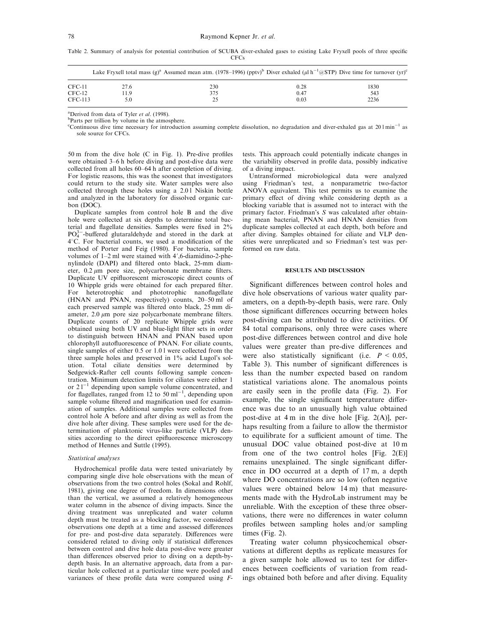Table 2. Summary of analysis for potential contribution of SCUBA diver-exhaled gases to existing Lake Fryxell pools of three specific **CFCs** 

|          |      | Lake Frysell total mass (g) <sup>a</sup> Assumed mean atm. (1978–1996) (ppty) <sup>b</sup> Diver exhaled (µl h <sup>-1</sup> $@STP$ ) Dive time for turnover (yr) <sup>c</sup> |      |      |
|----------|------|--------------------------------------------------------------------------------------------------------------------------------------------------------------------------------|------|------|
| CFC-11   | 27.6 | 230                                                                                                                                                                            | 0.28 | 1830 |
| $CFC-12$ | 1.9  | 375                                                                                                                                                                            | 0.47 | 543  |
| CFC-113  |      |                                                                                                                                                                                | 0.03 | 2236 |

<sup>a</sup>Derived from data of Tyler *et al.* (1998) <sup>a</sup>Derived from data of Tyler *et al.* (1998).<br><sup>b</sup>Parts per trillion by volume in the atmosphere.

<sup>c</sup>Continuous dive time necessary for introduction assuming complete dissolution, no degradation and diver-exhaled gas at 201 min<sup>-1</sup> as sole source for CFCs.

50 m from the dive hole  $(C$  in Fig. 1). Pre-dive profiles were obtained 3–6 h before diving and post-dive data were collected from all holes 60-64 h after completion of diving. For logistic reasons, this was the soonest that investigators could return to the study site. Water samples were also collected through these holes using a  $2.01$  Niskin bottle and analyzed in the laboratory for dissolved organic carbon (DOC).

Duplicate samples from control hole B and the dive hole were collected at six depths to determine total bacterial and flagellate densities. Samples were fixed in  $2\%$  $PO<sub>4</sub><sup>3</sup>$ -buffered glutaraldehyde and stored in the dark at 4°C. For bacterial counts, we used a modification of the method of Porter and Feig (1980). For bacteria, sample volumes of  $1-2$  ml were stained with  $4'$ , 6-diamidino-2-phenylindole (DAPI) and filtered onto black, 25-mm diameter,  $0.2 \mu m$  pore size, polycarbonate membrane filters. Duplicate UV epifluorescent microscopic direct counts of  $10$  Whipple grids were obtained for each prepared filter. For heterotrophic and phototrophic nanoflagellate (HNAN and PNAN, respectively) counts,  $20-50$  ml of each preserved sample was filtered onto black, 25 mm diameter,  $2.0 \mu m$  pore size polycarbonate membrane filters. Duplicate counts of 20 replicate Whipple grids were obtained using both UV and blue-light filter sets in order to distinguish between HNAN and PNAN based upon chlorophyll autofluorescence of PNAN. For ciliate counts, single samples of either 0.5 or 1.0 l were collected from the three sample holes and preserved in 1% acid Lugol's solution. Total ciliate densities were determined by Sedgewick-Rafter cell counts following sample concentration. Minimum detection limits for ciliates were either 1 or  $21^{-1}$  depending upon sample volume concentrated, and for flagellates, ranged from  $12$  to 50 ml<sup>-1</sup>, depending upon sample volume filtered and magnification used for examination of samples. Additional samples were collected from control hole A before and after diving as well as from the dive hole after diving. These samples were used for the determination of planktonic virus-like particle (VLP) densities according to the direct epifluorescence microscopy method of Hennes and Suttle (1995).

### Statistical analyses

Hydrochemical profile data were tested univariately by comparing single dive hole observations with the mean of observations from the two control holes (Sokal and Rohlf, 1981), giving one degree of freedom. In dimensions other than the vertical, we assumed a relatively homogeneous water column in the absence of diving impacts. Since the diving treatment was unreplicated and water column depth must be treated as a blocking factor, we considered observations one depth at a time and assessed differences for pre- and post-dive data separately. Differences were considered related to diving only if statistical differences between control and dive hole data post-dive were greater than differences observed prior to diving on a depth-bydepth basis. In an alternative approach, data from a particular hole collected at a particular time were pooled and variances of these profile data were compared using  $F$ -

tests. This approach could potentially indicate changes in the variability observed in profile data, possibly indicative of a diving impact.

Untransformed microbiological data were analyzed using Friedman's test, a nonparametric two-factor ANOVA equivalent. This test permits us to examine the primary effect of diving while considering depth as a blocking variable that is assumed not to interact with the primary factor. Friedman's S was calculated after obtaining mean bacterial, PNAN and HNAN densities from duplicate samples collected at each depth, both before and after diving. Samples obtained for ciliate and VLP densities were unreplicated and so Friedman's test was performed on raw data.

### RESULTS AND DISCUSSION

Significant differences between control holes and dive hole observations of various water quality parameters, on a depth-by-depth basis, were rare. Only those significant differences occurring between holes post-diving can be attributed to dive activities. Of 84 total comparisons, only three were cases where post-dive differences between control and dive hole values were greater than pre-dive differences and were also statistically significant (i.e.  $P < 0.05$ , Table 3). This number of significant differences is less than the number expected based on random statistical variations alone. The anomalous points are easily seen in the profile data (Fig. 2). For example, the single significant temperature difference was due to an unusually high value obtained post-dive at 4 m in the dive hole [Fig. 2(A)], perhaps resulting from a failure to allow the thermistor to equilibrate for a sufficient amount of time. The unusual DOC value obtained post-dive at 10 m from one of the two control holes [Fig. 2(E)] remains unexplained. The single significant difference in DO occurred at a depth of 17 m, a depth where DO concentrations are so low (often negative values were obtained below 14 m) that measurements made with the HydroLab instrument may be unreliable. With the exception of these three observations, there were no differences in water column profiles between sampling holes and/or sampling times (Fig. 2).

Treating water column physicochemical observations at different depths as replicate measures for a given sample hole allowed us to test for differences between coefficients of variation from readings obtained both before and after diving. Equality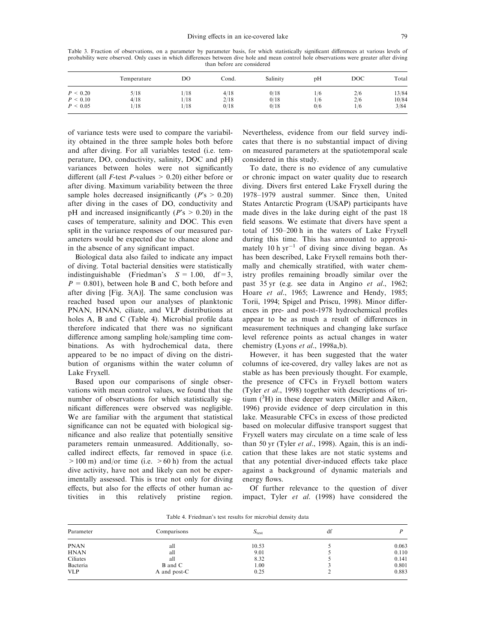Table 3. Fraction of observations, on a parameter by parameter basis, for which statistically significant differences at various levels of probability were observed. Only cases in which differences between dive hole and mean control hole observations were greater after diving than before are considered

|          | Temperature | DO   | Cond. | Salinity | pΗ  | <b>DOC</b> | Total |
|----------|-------------|------|-------|----------|-----|------------|-------|
| P < 0.20 | 5/18        | /18  | 4/18  | 0/18     | 1/6 | 2/6        | 13/84 |
| P < 0.10 | 4/18        | 1/18 | 2/18  | 0/18     | 1/6 | 2/6        | 10/84 |
| P < 0.05 | /18         | 18'  | 0/18  | 0/18     | 0/6 | 1/6        | 3/84  |

of variance tests were used to compare the variability obtained in the three sample holes both before and after diving. For all variables tested (i.e. temperature, DO, conductivity, salinity, DOC and pH) variances between holes were not significantly different (all *F*-test *P*-values  $> 0.20$ ) either before or after diving. Maximum variability between the three sample holes decreased insignificantly ( $P$ 's > 0.20) after diving in the cases of DO, conductivity and pH and increased insignificantly ( $P$ 's  $> 0.20$ ) in the cases of temperature, salinity and DOC. This even split in the variance responses of our measured parameters would be expected due to chance alone and in the absence of any significant impact.

Biological data also failed to indicate any impact of diving. Total bacterial densities were statistically indistinguishable (Friedman's  $S = 1.00$ , df=3,  $P = 0.801$ , between hole B and C, both before and after diving  $[Fig. 3(A)]$ . The same conclusion was reached based upon our analyses of planktonic PNAN, HNAN, ciliate, and VLP distributions at holes A, B and C (Table 4). Microbial profile data therefore indicated that there was no significant difference among sampling hole/sampling time combinations. As with hydrochemical data, there appeared to be no impact of diving on the distribution of organisms within the water column of Lake Fryxell.

Based upon our comparisons of single observations with mean control values, we found that the number of observations for which statistically significant differences were observed was negligible. We are familiar with the argument that statistical significance can not be equated with biological significance and also realize that potentially sensitive parameters remain unmeasured. Additionally, socalled indirect effects, far removed in space (i.e.  $>100 \text{ m}$ ) and/or time (i.e.  $>60 \text{ h}$ ) from the actual dive activity, have not and likely can not be experimentally assessed. This is true not only for diving effects, but also for the effects of other human activities in this relatively pristine region.

Nevertheless, evidence from our field survey indicates that there is no substantial impact of diving on measured parameters at the spatiotemporal scale considered in this study.

To date, there is no evidence of any cumulative or chronic impact on water quality due to research diving. Divers first entered Lake Fryxell during the 1978±1979 austral summer. Since then, United States Antarctic Program (USAP) participants have made dives in the lake during eight of the past 18 field seasons. We estimate that divers have spent a total of  $150-200$  h in the waters of Lake Fryxell during this time. This has amounted to approximately 10 h  $yr^{-1}$  of diving since diving began. As has been described, Lake Fryxell remains both thermally and chemically stratified, with water chemistry profiles remaining broadly similar over the past 35 yr (e.g. see data in Angino et al., 1962; Hoare et al., 1965; Lawrence and Hendy, 1985; Torii, 1994; Spigel and Priscu, 1998). Minor differences in pre- and post-1978 hydrochemical profiles appear to be as much a result of differences in measurement techniques and changing lake surface level reference points as actual changes in water chemistry (Lyons et al., 1998a,b).

However, it has been suggested that the water columns of ice-covered, dry valley lakes are not as stable as has been previously thought. For example, the presence of CFCs in Fryxell bottom waters (Tyler et al., 1998) together with descriptions of tritium  $({}^{3}H)$  in these deeper waters (Miller and Aiken, 1996) provide evidence of deep circulation in this lake. Measurable CFCs in excess of those predicted based on molecular diffusive transport suggest that Fryxell waters may circulate on a time scale of less than 50 yr (Tyler et al., 1998). Again, this is an indication that these lakes are not static systems and that any potential diver-induced effects take place against a background of dynamic materials and energy flows.

Of further relevance to the question of diver impact, Tyler et al. (1998) have considered the

Table 4. Friedman's test results for microbial density data

| Parameter   | Comparisons    | $S_{\text{test}}$ | df |       |
|-------------|----------------|-------------------|----|-------|
| <b>PNAN</b> | all            | 10.53             |    | 0.063 |
| <b>HNAN</b> | all            | 9.01              |    | 0.110 |
| Ciliates    | all            | 8.32              |    | 0.141 |
| Bacteria    | <b>B</b> and C | 1.00              |    | 0.801 |
| <b>VLP</b>  | A and post-C   | 0.25              |    | 0.883 |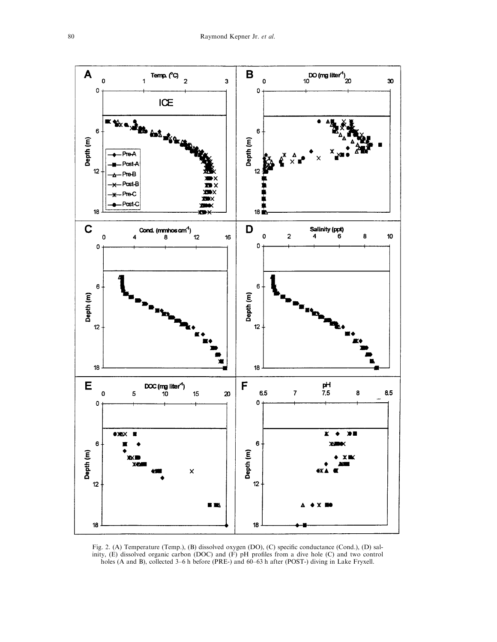

Fig. 2. (A) Temperature (Temp.), (B) dissolved oxygen (DO), (C) specific conductance (Cond.), (D) salinity,  $(E)$  dissolved organic carbon (DOC) and  $(F)$  pH profiles from a dive hole (C) and two control holes (A and B), collected 3 $-6$  h before (PRE-) and  $60-63$  h after (POST-) diving in Lake Fryxell.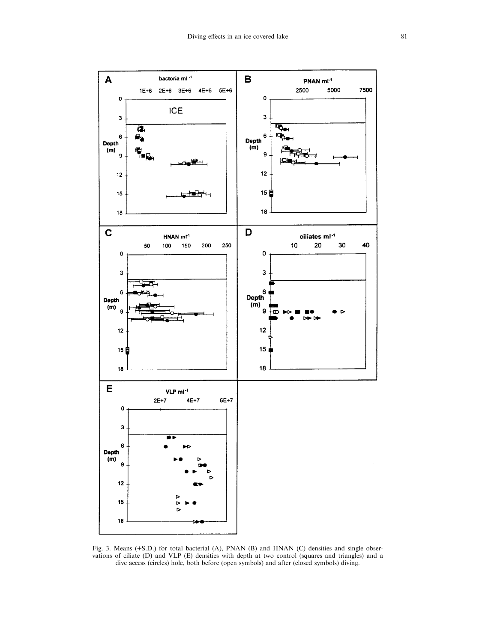

Fig. 3. Means  $(\pm S.D.)$  for total bacterial (A), PNAN (B) and HNAN (C) densities and single observations of ciliate (D) and VLP (E) densities with depth at two control (squares and triangles) and a dive access (circles) hole, both before (open symbols) and after (closed symbols) diving.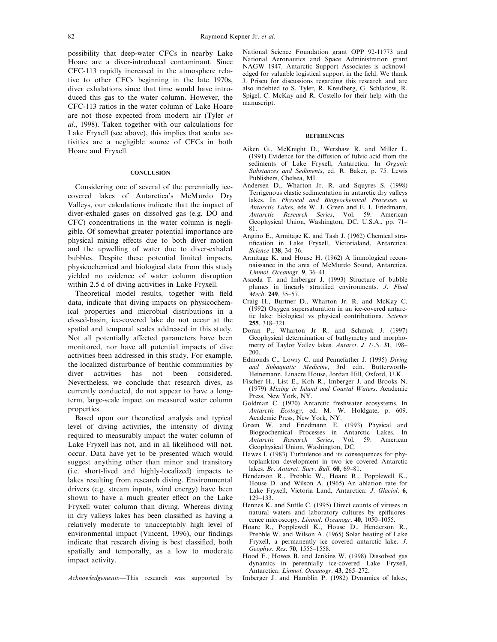possibility that deep-water CFCs in nearby Lake Hoare are a diver-introduced contaminant. Since CFC-113 rapidly increased in the atmosphere relative to other CFCs beginning in the late 1970s, diver exhalations since that time would have introduced this gas to the water column. However, the CFC-113 ratios in the water column of Lake Hoare are not those expected from modern air (Tyler et al., 1998). Taken together with our calculations for Lake Fryxell (see above), this implies that scuba activities are a negligible source of CFCs in both Hoare and Fryxell.

### **CONCLUSION**

Considering one of several of the perennially icecovered lakes of Antarctica's McMurdo Dry Valleys, our calculations indicate that the impact of diver-exhaled gases on dissolved gas (e.g. DO and CFC) concentrations in the water column is negligible. Of somewhat greater potential importance are physical mixing effects due to both diver motion and the upwelling of water due to diver-exhaled bubbles. Despite these potential limited impacts, physicochemical and biological data from this study yielded no evidence of water column disruption within 2.5 d of diving activities in Lake Fryxell.

Theoretical model results, together with field data, indicate that diving impacts on physicochemical properties and microbial distributions in a closed-basin, ice-covered lake do not occur at the spatial and temporal scales addressed in this study. Not all potentially affected parameters have been monitored, nor have all potential impacts of dive activities been addressed in this study. For example, the localized disturbance of benthic communities by diver activities has not been considered. Nevertheless, we conclude that research dives, as currently conducted, do not appear to have a longterm, large-scale impact on measured water column properties.

Based upon our theoretical analysis and typical level of diving activities, the intensity of diving required to measurably impact the water column of Lake Fryxell has not, and in all likelihood will not, occur. Data have yet to be presented which would suggest anything other than minor and transitory (i.e. short-lived and highly-localized) impacts to lakes resulting from research diving. Environmental drivers (e.g. stream inputs, wind energy) have been shown to have a much greater effect on the Lake Fryxell water column than diving. Whereas diving in dry valleys lakes has been classified as having a relatively moderate to unacceptably high level of environmental impact (Vincent, 1996), our findings indicate that research diving is best classified, both spatially and temporally, as a low to moderate impact activity.

Acknowledgements—This research was supported by

National Science Foundation grant OPP 92-11773 and National Aeronautics and Space Administration grant NAGW 1947. Antarctic Support Associates is acknowledged for valuable logistical support in the field. We thank J. Priscu for discussions regarding this research and are also indebted to S. Tyler, R. Kreidberg, G. Schladow, R. Spigel, C. McKay and R. Costello for their help with the manuscript.

#### **REFERENCES**

- Aiken G., McKnight D., Wershaw R. and Miller L.  $(1991)$  Evidence for the diffusion of fulvic acid from the sediments of Lake Fryxell, Antarctica. In Organic Substances and Sediments, ed. R. Baker, p. 75. Lewis Publishers, Chelsea, MI.
- Andersen D., Wharton Jr. R. and Squyres S. (1998) Terrigenous clastic sedimentation in antarctic dry valleys lakes. In Physical and Biogeochemical Processes in Antarctic Lakes, eds W. J. Green and E. I. Friedmann, Antarctic Research Series, Vol. 59. American Geophysical Union, Washington, DC, U.S.A., pp. 71-81.
- Angino E., Armitage K. and Tash J. (1962) Chemical stratification in Lake Fryxell, Victorialand, Antarctica. Science 138, 34-36.
- Armitage K. and House H. (1962) A limnological reconnaissance in the area of McMurdo Sound, Antarctica. Limnol. Oceanogr. 9, 36-41.
- Asaeda T. and Imberger J. (1993) Structure of bubble plumes in linearly stratified environments. J. Fluid Mech. 249, 35-57.
- Craig H., Burtner D., Wharton Jr. R. and McKay C. (1992) Oxygen supersaturation in an ice-covered antarctic lake: biological vs physical contributions. Science 255, 318±321.
- Doran P., Wharton Jr R. and Schmok J. (1997) Geophysical determination of bathymetry and morphometry of Taylor Valley lakes. Antarct. J. U.S.  $31, 198-$ 200.
- Edmonds C., Lowry C. and Pennefather J. (1995) Diving and Subaquatic Medicine, 3rd edn. Butterworth-Heinemann, Linacre House, Jordan Hill, Oxford, U.K.
- Fischer H., List E., Koh R., Imberger J. and Brooks N. (1979) Mixing in Inland and Coastal Waters. Academic Press, New York, NY.
- Goldman C. (1970) Antarctic freshwater ecosystems. In Antarctic Ecology, ed. M. W. Holdgate, p. 609. Academic Press, New York, NY.
- Green W. and Friedmann E. (1993) Physical and Biogeochemical Processes in Antarctic Lakes. In Antarctic Research Series, Vol. 59. American Geophysical Union, Washington, DC.
- Hawes I. (1983) Turbulence and its consequences for phytoplankton development in two ice covered Antarctic lakes. Br. Antarct. Surv. Bull.  $60, 69-81$ .
- Henderson R., Prebble W., Hoare R., Popplewell K., House D. and Wilson A. (1965) An ablation rate for Lake Fryxell, Victoria Land, Antarctica. J. Glaciol. 6, 129±133.
- Hennes K. and Suttle C. (1995) Direct counts of viruses in natural waters and laboratory cultures by epifluorescence microscopy. Limnol. Oceanogr. 40, 1050-1055.
- Hoare R., Popplewell K., House D., Henderson R., Prebble W. and Wilson A. (1965) Solar heating of Lake Fryxell, a permanently ice covered antarctic lake. J. Geophys. Res. 70, 1555-1558.
- Hood E., Howes B. and Jenkins W. (1998) Dissolved gas dynamics in perennially ice-covered Lake Fryxell, Antarctica. Limnol. Oceanogr. 43, 265-272.
- Imberger J. and Hamblin P. (1982) Dynamics of lakes,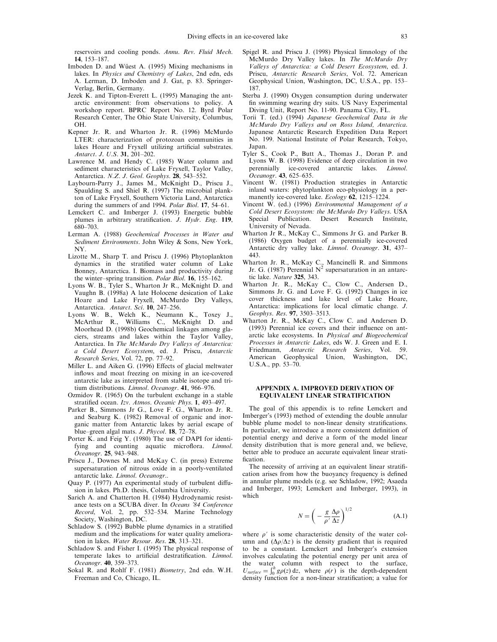reservoirs and cooling ponds. Annu. Rev. Fluid Mech. 14, 153±187.

- Imboden D. and Wüest A. (1995) Mixing mechanisms in lakes. In Physics and Chemistry of Lakes, 2nd edn, eds A. Lerman, D. Imboden and J. Gat, p. 83. Springer-Verlag, Berlin, Germany.
- Jezek K. and Tipton-Everett L. (1995) Managing the antarctic environment: from observations to policy. A workshop report. BPRC Report No. 12. Byrd Polar Research Center, The Ohio State University, Columbus, OH.
- Kepner Jr. R. and Wharton Jr. R. (1996) McMurdo LTER: characterization of protozoan communities in lakes Hoare and Fryxell utilizing artificial substrates. Antarct. J. U.S. 31, 201-202.
- Lawrence M. and Hendy C. (1985) Water column and sediment characteristics of Lake Fryxell, Taylor Valley, Antarctica. N.Z. J. Geol. Geophys. 28, 543-552.
- Laybourn-Parry J., James M., McKnight D., Priscu J., Spaulding S. and Shiel R. (1997) The microbial plankton of Lake Fryxell, Southern Victoria Land, Antarctica during the summers of and 1994. Polar Biol. 17, 54-61.
- Lemckert C. and Imberger J. (1993) Energetic bubble plumes in arbitrary stratification. J.  $Hydr$ . Eng. 119,  $680 - 703.$
- Lerman A. (1988) Geochemical Processes in Water and Sediment Environments. John Wiley & Sons, New York, NY.
- Lizotte M., Sharp T. and Priscu J. (1996) Phytoplankton dynamics in the stratified water column of Lake Bonney, Antarctica. I. Biomass and productivity during the winter-spring transition. *Polar Biol.* 16, 155-162.
- Lyons W. B., Tyler S., Wharton Jr R., McKnight D. and Vaughn B. (1998a) A late Holocene desication of Lake Hoare and Lake Fryxell, McMurdo Dry Valleys, Antarctica. Antarct. Sci. 10, 247-256.
- Lyons W. B., Welch K., Neumann K., Toxey J., McArthur R., Williams C., McKnight D. and Moorhead D. (1998b) Geochemical linkages among glaciers, streams and lakes within the Taylor Valley, Antarctica. In The McMurdo Dry Valleys of Antarctica: a Cold Desert Ecosystem, ed. J. Priscu, Antarctic Research Series, Vol. 72, pp. 77-92.
- Miller L. and Aiken G. (1996) Effects of glacial meltwater inflows and moat freezing on mixing in an ice-covered antarctic lake as interpreted from stable isotope and tritium distributions. Limnol. Oceanogr. 41, 966-976.
- Ozmidov R. (1965) On the turbulent exchange in a stable stratified ocean. Izv. Atmos. Oceanic Phys. 1, 493-497.
- Parker B., Simmons Jr G., Love F. G., Wharton Jr. R. and Seaburg K. (1982) Removal of organic and inorganic matter from Antarctic lakes by aerial escape of blue-green algal mats. J. Phycol. 18, 72-78.
- Porter K. and Feig Y. (1980) The use of DAPI for identifying and counting aquatic microflora. Limnol. Oceanogr. 25, 943-948.
- Priscu J., Downes M. and McKay C. (in press) Extreme supersaturation of nitrous oxide in a poorly-ventilated antarctic lake. Limnol. Oceanogr..
- Quay P. (1977) An experimental study of turbulent diffusion in lakes. Ph.D. thesis, Columbia University.
- Sarich A. and Chatterton H. (1984) Hydrodynamic resistance tests on a SCUBA diver. In Oceans '84 Conference Record, Vol. 2, pp. 532-534. Marine Technology Society, Washington, DC.
- Schladow S. (1992) Bubble plume dynamics in a stratified medium and the implications for water quality amelioration in lakes. Water Resour. Res.  $28$ , 313-321.
- Schladow S. and Fisher I. (1995) The physical response of temperate lakes to artificial destratification. Limnol. Oceanogr. 40, 359-373.
- Sokal R. and Rohlf F. (1981) Biometry, 2nd edn. W.H. Freeman and Co, Chicago, IL.
- Spigel R. and Priscu J. (1998) Physical limnology of the McMurdo Dry Valley lakes. In The McMurdo Dry Valleys of Antarctica: a Cold Desert Ecosystem, ed. J. Priscu, Antarctic Research Series, Vol. 72. American Geophysical Union, Washington, DC, U.S.A., pp. 153-187.
- Sterba J. (1990) Oxygen consumption during underwater fin swimming wearing dry suits. US Navy Experimental Diving Unit, Report No. 11-90. Panama City, FL.
- Torii T. (ed.) (1994) Japanese Geochemical Data in the McMurdo Dry Valleys and on Ross Island, Antarctica. Japanese Antarctic Research Expedition Data Report No. 199. National Institute of Polar Research, Tokyo, Japan.
- Tyler S., Cook P., Butt A., Thomas J., Doran P. and Lyons W. B. (1998) Evidence of deep circulation in two perennially ice-covered antarctic lakes. Limnol. Oceanogr. 43, 625-635.
- Vincent W. (1981) Production strategies in Antarctic inland waters: phytoplankton eco-physiology in a permanently ice-covered lake. Ecology 62, 1215-1224.
- Vincent W. (ed.) (1996) Environmental Management of a Cold Desert Ecosystem: the McMurdo Dry Valleys. USA Special Publication. Desert Research Institute, University of Nevada.
- Wharton Jr R., McKay C., Simmons Jr G. and Parker B. (1986) Oxygen budget of a perennially ice-covered Antarctic dry valley lake. Limnol. Oceanogr. 31, 437-443.
- Wharton Jr. R., McKay C., Mancinelli R. and Simmons Jr. G. (1987) Perennial  $N^2$  supersaturation in an antarctic lake. Nature 325, 343.
- Wharton Jr. R., McKay C., Clow C., Andersen D., Simmons Jr. G. and Love F. G. (1992) Changes in ice cover thickness and lake level of Lake Hoare, Antarctica: implications for local climatic change. J. Geophys. Res. 97, 3503-3513.
- Wharton Jr. R., McKay C., Clow C. and Andersen D. (1993) Perennial ice covers and their influence on antarctic lake ecosystems. In Physical and Biogeochemical Processes in Antarctic Lakes, eds W. J. Green and E. I. Friedmann, Antarctic Research Series, Vol. 59. American Geophysical Union, Washington, DC, U.S.A., pp. 53-70.

# APPENDIX A. IMPROVED DERIVATION OF EQUIVALENT LINEAR STRATIFICATION

The goal of this appendix is to refine Lemckert and Imberger's (1993) method of extending the double annular bubble plume model to non-linear density stratifications. In particular, we introduce a more consistent definition of potential energy and derive a form of the model linear density distribution that is more general and, we believe, better able to produce an accurate equivalent linear strati fication.

The necessity of arriving at an equivalent linear stratification arises from how the buoyancy frequency is defined in annular plume models (e.g. see Schladow, 1992; Asaeda and Imberger, 1993; Lemckert and Imberger, 1993), in which

$$
N = \left(-\frac{g}{\rho'}\frac{\Delta\rho}{\Delta z}\right)^{1/2} \tag{A.1}
$$

where  $\rho'$  is some characteristic density of the water column and  $(\Delta \rho / \Delta z)$  is the density gradient that is required to be a constant. Lemckert and Imberger's extension involves calculating the potential energy per unit area of the water column with respect to the surface,  $U_{surface} = \int_0^h g \rho(z) dz$ , where  $\rho(r)$  is the depth-dependent density function for a non-linear stratification; a value for